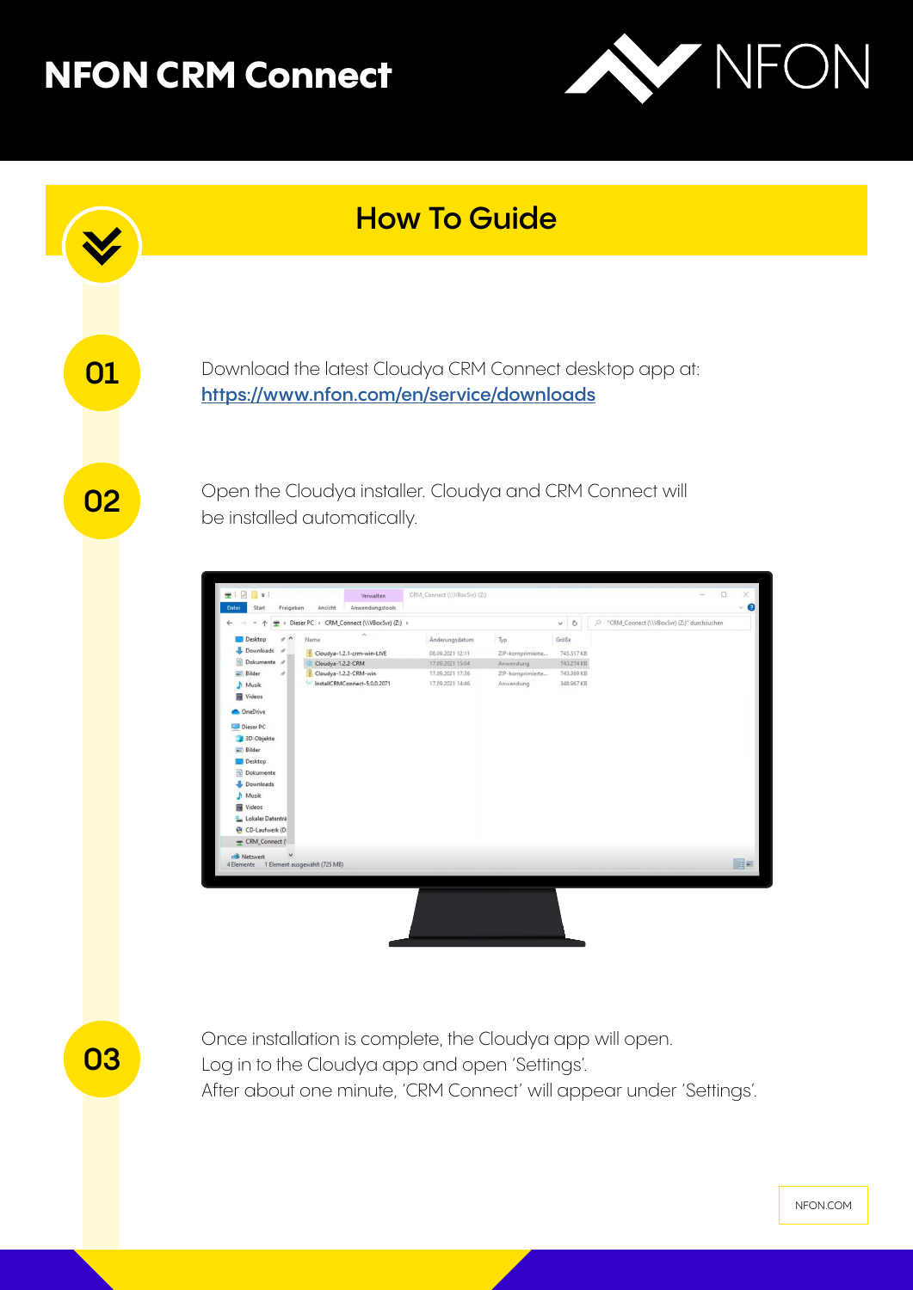

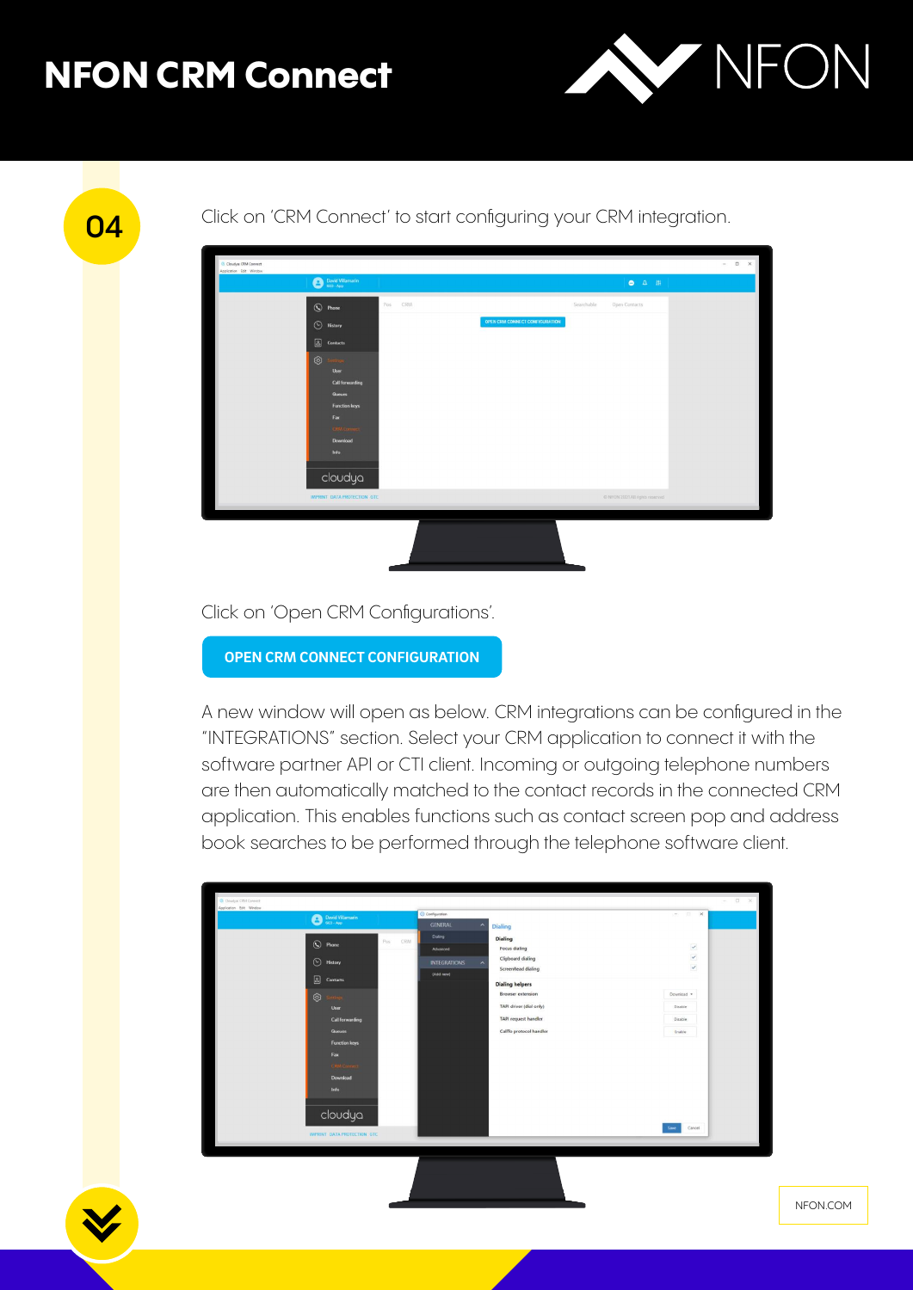

Click on 'CRM Connect' to start configuring your CRM integration. **04**



Click on 'Open CRM Configurations'.

**OPEN CRM CONNECT CONFIGURATION**

A new window will open as below. CRM integrations can be configured in the "INTEGRATIONS" section. Select your CRM application to connect it with the software partner API or CTI client. Incoming or outgoing telephone numbers are then automatically matched to the contact records in the connected CRM application. This enables functions such as contact screen pop and address book searches to be performed through the telephone software client.

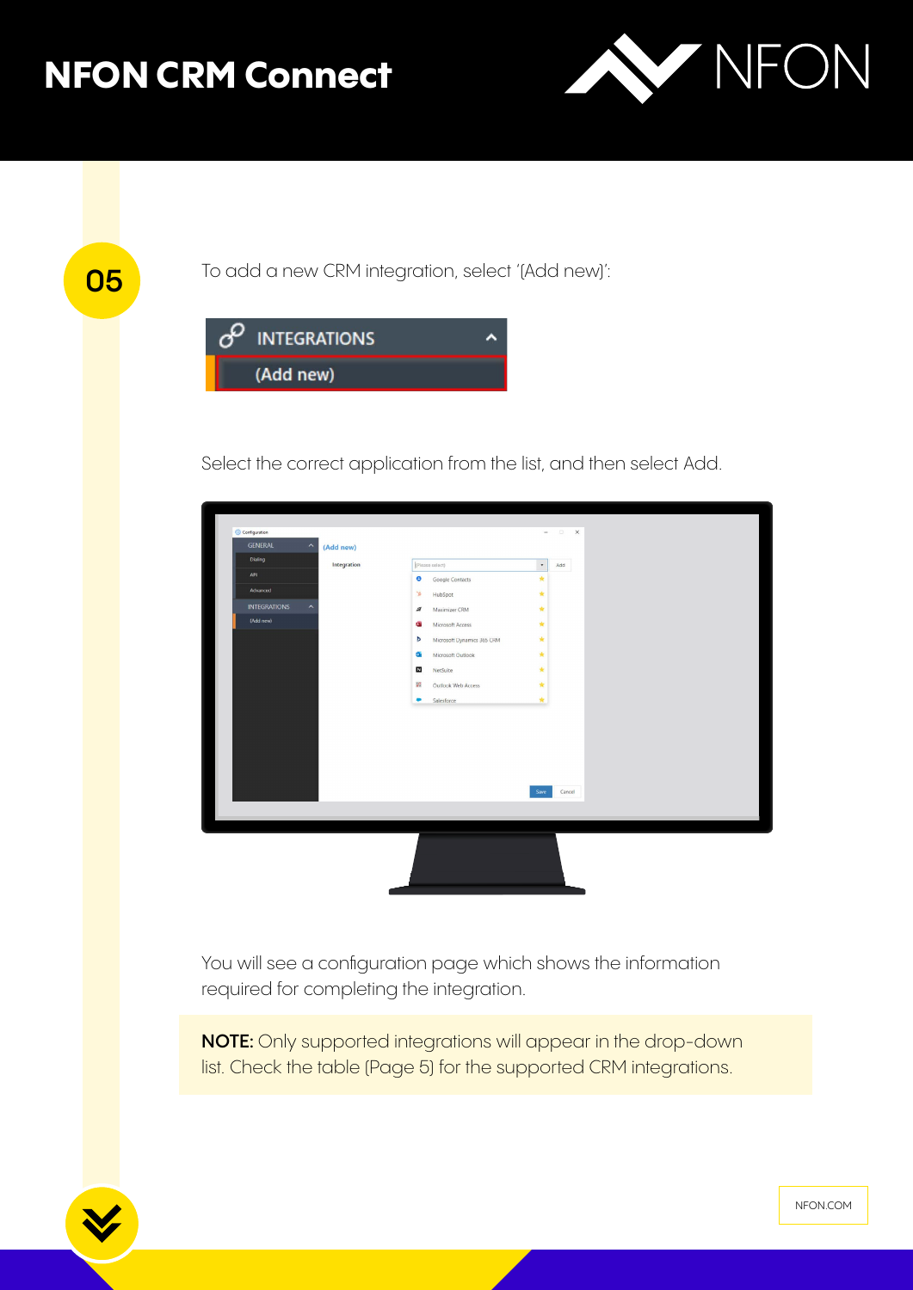



You will see a configuration page which shows the information required for completing the integration.

**NOTE:** Only supported integrations will appear in the drop-down list. Check the table (Page 5) for the supported CRM integrations.

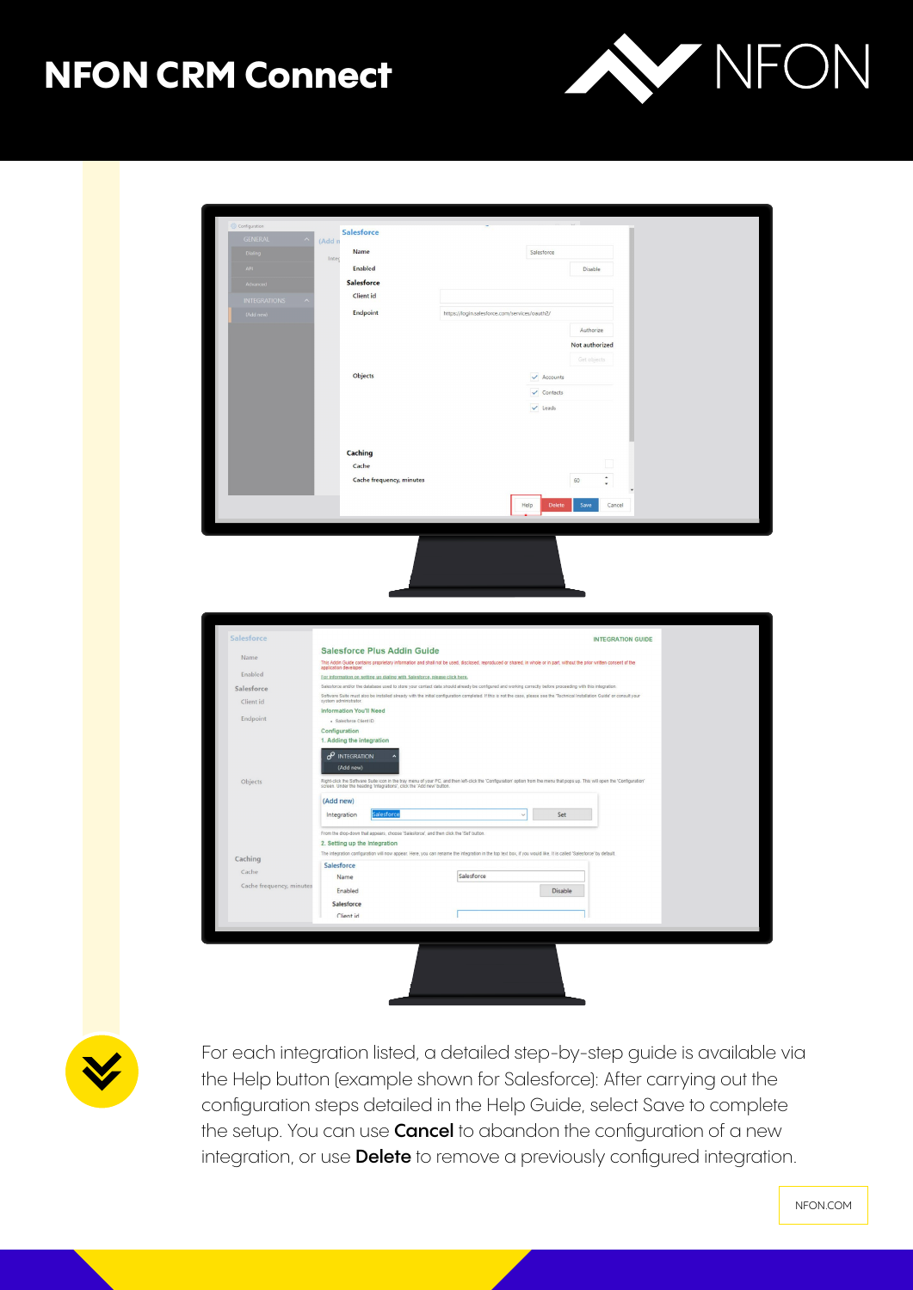

| Dialing                  | Name                                                                                   | Salesforce                                                                                                                                                                                                                        |                          |  |
|--------------------------|----------------------------------------------------------------------------------------|-----------------------------------------------------------------------------------------------------------------------------------------------------------------------------------------------------------------------------------|--------------------------|--|
| <b>API</b>               | Integ<br><b>Enabled</b>                                                                |                                                                                                                                                                                                                                   | Disable                  |  |
| Advanced                 | Salesforce                                                                             |                                                                                                                                                                                                                                   |                          |  |
| <b>INTEGRATIONS</b>      | <b>Client id</b>                                                                       |                                                                                                                                                                                                                                   |                          |  |
| (Add new)                | Endpoint                                                                               | https://login.salesforce.com/services/oauth2/                                                                                                                                                                                     |                          |  |
|                          |                                                                                        |                                                                                                                                                                                                                                   | Authorize                |  |
|                          |                                                                                        |                                                                                                                                                                                                                                   | Not authorized           |  |
|                          |                                                                                        |                                                                                                                                                                                                                                   | Get objects              |  |
|                          |                                                                                        |                                                                                                                                                                                                                                   |                          |  |
|                          | Objects                                                                                | $\vee$ Accounts                                                                                                                                                                                                                   |                          |  |
|                          |                                                                                        | $\checkmark$ Contacts                                                                                                                                                                                                             |                          |  |
|                          |                                                                                        | $\vee$ Leads                                                                                                                                                                                                                      |                          |  |
|                          |                                                                                        |                                                                                                                                                                                                                                   |                          |  |
|                          |                                                                                        |                                                                                                                                                                                                                                   |                          |  |
|                          | Caching                                                                                |                                                                                                                                                                                                                                   |                          |  |
|                          | Cache                                                                                  |                                                                                                                                                                                                                                   |                          |  |
|                          | Cache frequency, minutes                                                               |                                                                                                                                                                                                                                   | 60                       |  |
|                          |                                                                                        | Help<br>Delete                                                                                                                                                                                                                    | Save<br>Cancel           |  |
|                          |                                                                                        |                                                                                                                                                                                                                                   |                          |  |
|                          |                                                                                        |                                                                                                                                                                                                                                   |                          |  |
|                          |                                                                                        |                                                                                                                                                                                                                                   |                          |  |
|                          |                                                                                        |                                                                                                                                                                                                                                   | <b>INTEGRATION GUIDE</b> |  |
| Name                     | <b>Salesforce Plus Addin Guide</b>                                                     |                                                                                                                                                                                                                                   |                          |  |
|                          |                                                                                        | This Addin Guide contains proprietary information and shall not be used, disclosed, reproduced or shared, in whole or in part, without the prior written consent of the<br>application developer.                                 |                          |  |
| Enabled                  | For information on setting up dialing with Salesforce, please click here.              | Salesforce and/or the database used to store your contact data should already be configured and working correctly before proceeding with this integration.                                                                        |                          |  |
| Salesforce               |                                                                                        |                                                                                                                                                                                                                                   |                          |  |
| Client id                | <b>Information You'll Need</b>                                                         | Software Suite must also be installed already with the initial configuration completed. If this is not the case, please see the 'Technical Installation Guide' or consult your                                                    |                          |  |
| Endpoint                 | · Salesforce Client ID                                                                 |                                                                                                                                                                                                                                   |                          |  |
|                          | Configuration<br>1. Adding the integration                                             |                                                                                                                                                                                                                                   |                          |  |
|                          | O INTEGRATION                                                                          |                                                                                                                                                                                                                                   |                          |  |
|                          | (Add new)                                                                              |                                                                                                                                                                                                                                   |                          |  |
| Objects                  |                                                                                        | Right-click the Software Suite icon in the tray menu of your PC, and then left-click the 'Configuration' option from the menu that pops up. This will open the 'Configuration'<br>screen. Under the heading 'integrations', click |                          |  |
|                          | (Add new)                                                                              |                                                                                                                                                                                                                                   |                          |  |
|                          | Integration<br>alesforce                                                               | Set<br>$\checkmark$                                                                                                                                                                                                               |                          |  |
|                          | From the drop-down that appears, choose 'Salesforce', and then click the 'Set' button. |                                                                                                                                                                                                                                   |                          |  |
|                          | 2. Setting up the Integration                                                          |                                                                                                                                                                                                                                   |                          |  |
| Caching                  |                                                                                        | The integration configuration will now appear. Here, you can rename the integration in the top text box, if you would like. It is called 'Salesforce' by default.                                                                 |                          |  |
| Cache                    | Salesforce                                                                             | Salesforce                                                                                                                                                                                                                        |                          |  |
| Cache frequency, minutes | Name<br>Enabled                                                                        | Disable                                                                                                                                                                                                                           |                          |  |
|                          | Salesforce                                                                             |                                                                                                                                                                                                                                   |                          |  |
|                          | Client id                                                                              |                                                                                                                                                                                                                                   |                          |  |
| Salesforce               |                                                                                        |                                                                                                                                                                                                                                   |                          |  |
|                          |                                                                                        |                                                                                                                                                                                                                                   |                          |  |



For each integration listed, a detailed step-by-step guide is available via the Help button (example shown for Salesforce): After carrying out the configuration steps detailed in the Help Guide, select Save to complete the setup. You can use **Cancel** to abandon the configuration of a new integration, or use **Delete** to remove a previously configured integration.